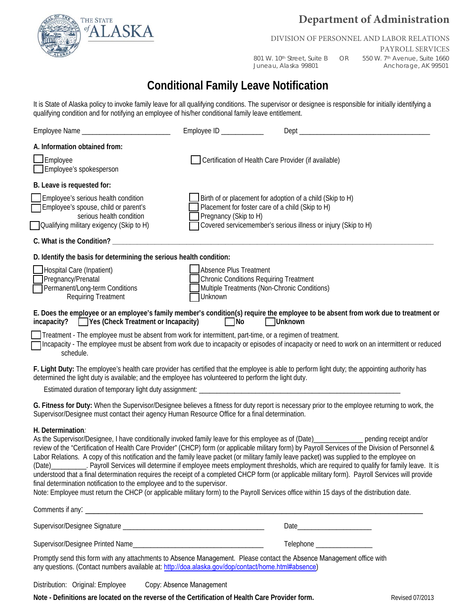

# **Department of Administration**

### DIVISION OF PERSONNEL AND LABOR RELATIONS

PAYROLL SERVICES 801 W. 10<sup>th</sup> Street, Suite B OR 550 W. 7<sup>th</sup> Avenue, Suite 1660<br>Juneau, Alaska 99801 Anchorage, AK 99501 Anchorage, AK 99501

# **Conditional Family Leave Notification**

It is State of Alaska policy to invoke family leave for all qualifying conditions. The supervisor or designee is responsible for initially identifying a qualifying condition and for notifying an employee of his/her conditional family leave entitlement.

|                                                                                                                                                                                                                                                                                                                                                                                         | Employee ID $\_\_\_\_\_\_\_\_\_\_\_\_\_\_\_\_\_\_\_$                      |                                                                                                                                                                                                                                                                                                                                                                                                                                                                                                                                                                                                          |  |  |
|-----------------------------------------------------------------------------------------------------------------------------------------------------------------------------------------------------------------------------------------------------------------------------------------------------------------------------------------------------------------------------------------|---------------------------------------------------------------------------|----------------------------------------------------------------------------------------------------------------------------------------------------------------------------------------------------------------------------------------------------------------------------------------------------------------------------------------------------------------------------------------------------------------------------------------------------------------------------------------------------------------------------------------------------------------------------------------------------------|--|--|
| A. Information obtained from:                                                                                                                                                                                                                                                                                                                                                           |                                                                           |                                                                                                                                                                                                                                                                                                                                                                                                                                                                                                                                                                                                          |  |  |
| Employee<br>Employee's spokesperson                                                                                                                                                                                                                                                                                                                                                     | Certification of Health Care Provider (if available)                      |                                                                                                                                                                                                                                                                                                                                                                                                                                                                                                                                                                                                          |  |  |
| B. Leave is requested for:                                                                                                                                                                                                                                                                                                                                                              |                                                                           |                                                                                                                                                                                                                                                                                                                                                                                                                                                                                                                                                                                                          |  |  |
| Employee's serious health condition<br>Employee's spouse, child or parent's<br>serious health condition                                                                                                                                                                                                                                                                                 | Placement for foster care of a child (Skip to H)<br>Pregnancy (Skip to H) | Birth of or placement for adoption of a child (Skip to H)                                                                                                                                                                                                                                                                                                                                                                                                                                                                                                                                                |  |  |
| Qualifying military exigency (Skip to H)                                                                                                                                                                                                                                                                                                                                                |                                                                           | Covered servicemember's serious illness or injury (Skip to H)                                                                                                                                                                                                                                                                                                                                                                                                                                                                                                                                            |  |  |
| C. What is the Condition? ___________                                                                                                                                                                                                                                                                                                                                                   |                                                                           |                                                                                                                                                                                                                                                                                                                                                                                                                                                                                                                                                                                                          |  |  |
| D. Identify the basis for determining the serious health condition:                                                                                                                                                                                                                                                                                                                     |                                                                           |                                                                                                                                                                                                                                                                                                                                                                                                                                                                                                                                                                                                          |  |  |
| Hospital Care (Inpatient)<br>Pregnancy/Prenatal<br>Permanent/Long-term Conditions<br><b>Requiring Treatment</b>                                                                                                                                                                                                                                                                         | Absence Plus Treatment<br>Unknown                                         | <b>Chronic Conditions Requiring Treatment</b><br>Multiple Treatments (Non-Chronic Conditions)                                                                                                                                                                                                                                                                                                                                                                                                                                                                                                            |  |  |
| $incapacity?$ $\Box$ Yes (Check Treatment or Incapacity)                                                                                                                                                                                                                                                                                                                                | No                                                                        | E. Does the employee or an employee's family member's condition(s) require the employee to be absent from work due to treatment or<br>Unknown                                                                                                                                                                                                                                                                                                                                                                                                                                                            |  |  |
| Treatment - The employee must be absent from work for intermittent, part-time, or a regimen of treatment.<br>schedule.                                                                                                                                                                                                                                                                  |                                                                           | Incapacity - The employee must be absent from work due to incapacity or episodes of incapacity or need to work on an intermittent or reduced                                                                                                                                                                                                                                                                                                                                                                                                                                                             |  |  |
| determined the light duty is available; and the employee has volunteered to perform the light duty.                                                                                                                                                                                                                                                                                     |                                                                           | F. Light Duty: The employee's health care provider has certified that the employee is able to perform light duty; the appointing authority has                                                                                                                                                                                                                                                                                                                                                                                                                                                           |  |  |
| Supervisor/Designee must contact their agency Human Resource Office for a final determination.                                                                                                                                                                                                                                                                                          |                                                                           | G. Fitness for Duty: When the Supervisor/Designee believes a fitness for duty report is necessary prior to the employee returning to work, the                                                                                                                                                                                                                                                                                                                                                                                                                                                           |  |  |
| H. Determination:<br>Labor Relations. A copy of this notification and the family leave packet (or military family leave packet) was supplied to the employee on<br>final determination notification to the employee and to the supervisor.<br>Note: Employee must return the CHCP (or applicable military form) to the Payroll Services office within 15 days of the distribution date. |                                                                           | As the Supervisor/Designee, I have conditionally invoked family leave for this employee as of (Date)_____________ pending receipt and/or<br>review of the "Certification of Health Care Provider" (CHCP) form (or applicable military form) by Payroll Services of the Division of Personnel &<br>(Date) ___________. Payroll Services will determine if employee meets employment thresholds, which are required to qualify for family leave. It is<br>understood that a final determination requires the receipt of a completed CHCP form (or applicable military form). Payroll Services will provide |  |  |
|                                                                                                                                                                                                                                                                                                                                                                                         |                                                                           |                                                                                                                                                                                                                                                                                                                                                                                                                                                                                                                                                                                                          |  |  |
|                                                                                                                                                                                                                                                                                                                                                                                         |                                                                           |                                                                                                                                                                                                                                                                                                                                                                                                                                                                                                                                                                                                          |  |  |
|                                                                                                                                                                                                                                                                                                                                                                                         |                                                                           | Telephone ___________________                                                                                                                                                                                                                                                                                                                                                                                                                                                                                                                                                                            |  |  |
| Promptly send this form with any attachments to Absence Management. Please contact the Absence Management office with<br>any questions. (Contact numbers available at: http://doa.alaska.gov/dop/contact/home.html#absence)                                                                                                                                                             |                                                                           |                                                                                                                                                                                                                                                                                                                                                                                                                                                                                                                                                                                                          |  |  |
| Distribution: Original: Employee                                                                                                                                                                                                                                                                                                                                                        | Copy: Absence Management                                                  |                                                                                                                                                                                                                                                                                                                                                                                                                                                                                                                                                                                                          |  |  |

**Note - Definitions are located on the reverse of the Certification of Health Care Provider form.**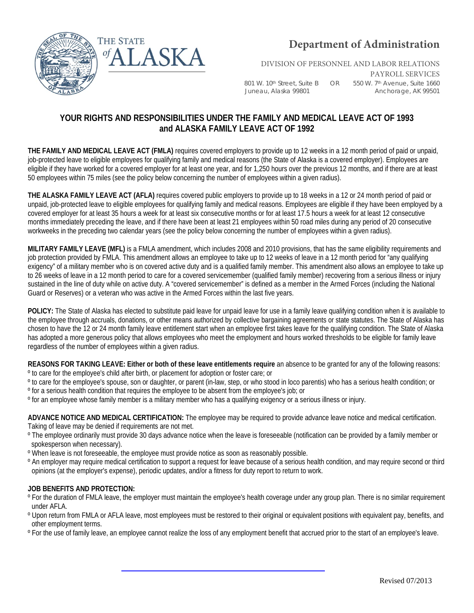

DIVISION OF PERSONNEL AND LABOR RELATIONS

801 W. 10th Street, Suite B OR 550 W. 7th Avenue, Suite 1660 Juneau, Alaska 99801 Martin Anchorage, AK 99501

PAYROLL SERVICES

### **YOUR RIGHTS AND RESPONSIBILITIES UNDER THE FAMILY AND MEDICAL LEAVE ACT OF 1993 and ALASKA FAMILY LEAVE ACT OF 1992**

**THE FAMILY AND MEDICAL LEAVE ACT (FMLA)** requires covered employers to provide up to 12 weeks in a 12 month period of paid or unpaid, job-protected leave to eligible employees for qualifying family and medical reasons (the State of Alaska is a covered employer). Employees are eligible if they have worked for a covered employer for at least one year, and for 1,250 hours over the previous 12 months, and if there are at least 50 employees within 75 miles (see the policy below concerning the number of employees within a given radius).

**THE ALASKA FAMILY LEAVE ACT (AFLA)** requires covered public employers to provide up to 18 weeks in a 12 or 24 month period of paid or unpaid, job-protected leave to eligible employees for qualifying family and medical reasons. Employees are eligible if they have been employed by a covered employer for at least 35 hours a week for at least six consecutive months or for at least 17.5 hours a week for at least 12 consecutive months immediately preceding the leave, and if there have been at least 21 employees within 50 road miles during any period of 20 consecutive workweeks in the preceding two calendar years (see the policy below concerning the number of employees within a given radius).

**MILITARY FAMILY LEAVE (MFL)** is a FMLA amendment, which includes 2008 and 2010 provisions, that has the same eligibility requirements and job protection provided by FMLA. This amendment allows an employee to take up to 12 weeks of leave in a 12 month period for "any qualifying exigency" of a military member who is on covered active duty and is a qualified family member. This amendment also allows an employee to take up to 26 weeks of leave in a 12 month period to care for a covered servicemember (qualified family member) recovering from a serious illness or injury sustained in the line of duty while on active duty. A "covered servicemember" is defined as a member in the Armed Forces (including the National Guard or Reserves) or a veteran who was active in the Armed Forces within the last five years.

**POLICY:** The State of Alaska has elected to substitute paid leave for unpaid leave for use in a family leave qualifying condition when it is available to the employee through accruals, donations, or other means authorized by collective bargaining agreements or state statutes. The State of Alaska has chosen to have the 12 or 24 month family leave entitlement start when an employee first takes leave for the qualifying condition. The State of Alaska has adopted a more generous policy that allows employees who meet the employment and hours worked thresholds to be eligible for family leave regardless of the number of employees within a given radius.

**REASONS FOR TAKING LEAVE: Either or both of these leave entitlements require** an absence to be granted for any of the following reasons: º to care for the employee's child after birth, or placement for adoption or foster care; or

- º to care for the employee's spouse, son or daughter, or parent (in-law, step, or who stood in loco parentis) who has a serious health condition; or º for a serious health condition that requires the employee to be absent from the employee's job; or
- º for an employee whose family member is a military member who has a qualifying exigency or a serious illness or injury.

**ADVANCE NOTICE AND MEDICAL CERTIFICATION:** The employee may be required to provide advance leave notice and medical certification. Taking of leave may be denied if requirements are not met.

- º The employee ordinarily must provide 30 days advance notice when the leave is foreseeable (notification can be provided by a family member or spokesperson when necessary).
- º When leave is not foreseeable, the employee must provide notice as soon as reasonably possible.
- º An employer may require medical certification to support a request for leave because of a serious health condition, and may require second or third opinions (at the employer's expense), periodic updates, and/or a fitness for duty report to return to work.

### **JOB BENEFITS AND PROTECTION:**

- º For the duration of FMLA leave, the employer must maintain the employee's health coverage under any group plan. There is no similar requirement under AFLA.
- º Upon return from FMLA or AFLA leave, most employees must be restored to their original or equivalent positions with equivalent pay, benefits, and other employment terms.
- º For the use of family leave, an employee cannot realize the loss of any employment benefit that accrued prior to the start of an employee's leave.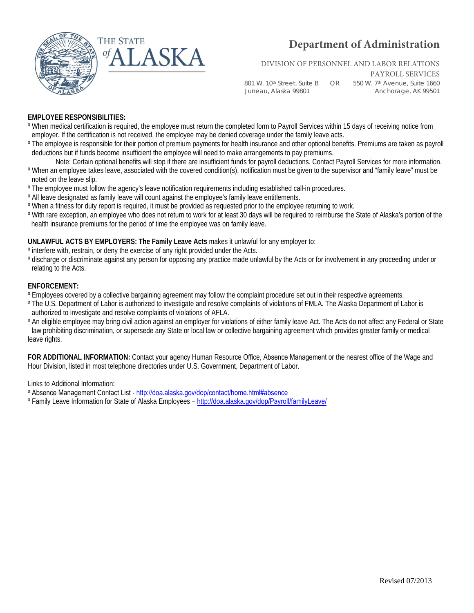

# **Department of Administration**

### DIVISION OF PERSONNEL AND LABOR RELATIONS

Juneau, Alaska 99801 Anchorage, AK 99501

801 W. 10th Street, Suite B OR 550 W. 7th Avenue, Suite 1660

PAYROLL SERVICES

### **EMPLOYEE RESPONSIBILITIES:**

- º When medical certification is required, the employee must return the completed form to Payroll Services within 15 days of receiving notice from employer. If the certification is not received, the employee may be denied coverage under the family leave acts.
- <sup>o</sup> The employee is responsible for their portion of premium payments for health insurance and other optional benefits. Premiums are taken as payroll deductions but if funds become insufficient the employee will need to make arrangements to pay premiums.
- Note: Certain optional benefits will stop if there are insufficient funds for payroll deductions. Contact Payroll Services for more information. º When an employee takes leave, associated with the covered condition(s), notification must be given to the supervisor and "family leave" must be noted on the leave slip.
- º The employee must follow the agency's leave notification requirements including established call-in procedures.
- º All leave designated as family leave will count against the employee's family leave entitlements.
- º When a fitness for duty report is required, it must be provided as requested prior to the employee returning to work.
- º With rare exception, an employee who does not return to work for at least 30 days will be required to reimburse the State of Alaska's portion of the health insurance premiums for the period of time the employee was on family leave.

#### **UNLAWFUL ACTS BY EMPLOYERS: The Family Leave Acts** makes it unlawful for any employer to:

- º interfere with, restrain, or deny the exercise of any right provided under the Acts.
- º discharge or discriminate against any person for opposing any practice made unlawful by the Acts or for involvement in any proceeding under or relating to the Acts.

### **ENFORCEMENT:**

- º Employees covered by a collective bargaining agreement may follow the complaint procedure set out in their respective agreements.
- º The U.S. Department of Labor is authorized to investigate and resolve complaints of violations of FMLA. The Alaska Department of Labor is authorized to investigate and resolve complaints of violations of AFLA.
- º An eligible employee may bring civil action against an employer for violations of either family leave Act. The Acts do not affect any Federal or State law prohibiting discrimination, or supersede any State or local law or collective bargaining agreement which provides greater family or medical leave rights.

**FOR ADDITIONAL INFORMATION:** Contact your agency Human Resource Office, Absence Management or the nearest office of the Wage and Hour Division, listed in most telephone directories under U.S. Government, Department of Labor.

Links to Additional Information:

º Absence Management Contact List - [http://doa.alaska.gov/dop/contact/home.html#absence](http://doa.alaska.gov/dop/fileadmin/Payroll/pdf/PayrollContactList.pdf) 

º Family Leave Information for State of Alaska Employees [– http://doa.alaska.gov/dop/](http://doa.alaska.gov/dop/Payroll/familyLeave/)Payroll/familyLeave/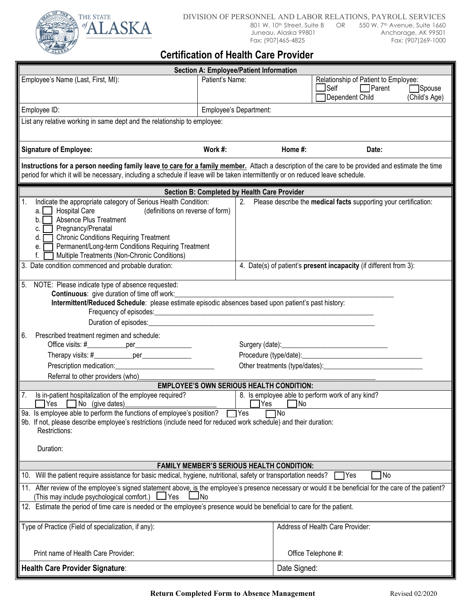

### DIVISION OF PERSONNEL AND LABOR RELATIONS, PAYROLL SERVICES<br>801 W. 10<sup>th</sup> Street, Suite B OR 550 W. 7<sup>th</sup> Avenue, Suite 1660 801 W. 10<sup>th</sup> Street, Suite B OR<br>Juneau, Alaska 99801

Juneau, Alaska 99801 (and a Anchorage, AK 99501 (and Anchorage)<br>Fax: (907) 465-4825 (and Anchorage, AK 99501 Fax: (907)269-1000

## **Certification of Health Care Provider**

|                                                                                                                                                                                                                                                                                                                                                                       | <b>Section A: Employee/Patient Information</b>  |                                                                                                                           |  |  |
|-----------------------------------------------------------------------------------------------------------------------------------------------------------------------------------------------------------------------------------------------------------------------------------------------------------------------------------------------------------------------|-------------------------------------------------|---------------------------------------------------------------------------------------------------------------------------|--|--|
| Employee's Name (Last, First, MI):                                                                                                                                                                                                                                                                                                                                    | Patient's Name:                                 | Relationship of Patient to Employee:<br>$\Box$ Self<br>$\Box$ Parent<br><b>Spouse</b><br>Dependent Child<br>(Child's Age) |  |  |
| Employee ID:                                                                                                                                                                                                                                                                                                                                                          | Employee's Department:                          |                                                                                                                           |  |  |
| List any relative working in same dept and the relationship to employee:                                                                                                                                                                                                                                                                                              |                                                 |                                                                                                                           |  |  |
| <b>Signature of Employee:</b>                                                                                                                                                                                                                                                                                                                                         | Work #:                                         | Home #:<br>Date:                                                                                                          |  |  |
| Instructions for a person needing family leave to care for a family member. Attach a description of the care to be provided and estimate the time<br>period for which it will be necessary, including a schedule if leave will be taken intermittently or on reduced leave schedule.                                                                                  |                                                 |                                                                                                                           |  |  |
|                                                                                                                                                                                                                                                                                                                                                                       | Section B: Completed by Health Care Provider    |                                                                                                                           |  |  |
| Indicate the appropriate category of Serious Health Condition:<br><b>Hospital Care</b><br>(definitions on reverse of form)<br>a.<br>Absence Plus Treatment<br>b.<br>Pregnancy/Prenatal<br>C.<br><b>Chronic Conditions Requiring Treatment</b><br>d.<br>Permanent/Long-term Conditions Requiring Treatment<br>е.<br>Multiple Treatments (Non-Chronic Conditions)<br>f. |                                                 | 2. Please describe the medical facts supporting your certification:                                                       |  |  |
| Date condition commenced and probable duration:                                                                                                                                                                                                                                                                                                                       |                                                 | 4. Date(s) of patient's present incapacity (if different from 3):                                                         |  |  |
| NOTE: Please indicate type of absence requested:<br>5.<br><b>Continuous:</b> give duration of time off work:<br>Intermittent/Reduced Schedule: please estimate episodic absences based upon patient's past history:<br>Duration of episodes:____________                                                                                                              |                                                 |                                                                                                                           |  |  |
| Prescribed treatment regimen and schedule:<br>6.<br>Office visits: #_______________per____________________                                                                                                                                                                                                                                                            |                                                 |                                                                                                                           |  |  |
| Therapy visits: #____________per_______________                                                                                                                                                                                                                                                                                                                       |                                                 |                                                                                                                           |  |  |
| Prescription medication: Prescription medication:                                                                                                                                                                                                                                                                                                                     |                                                 |                                                                                                                           |  |  |
| Referral to other providers (who)                                                                                                                                                                                                                                                                                                                                     |                                                 |                                                                                                                           |  |  |
| 7. Is in-patient hospitalization of the employee required?                                                                                                                                                                                                                                                                                                            | <b>EMPLOYEE'S OWN SERIOUS HEALTH CONDITION:</b> | 8. Is employee able to perform work of any kind?                                                                          |  |  |
| $\Box$ Yes $\Box$ No (give dates)                                                                                                                                                                                                                                                                                                                                     | $\Box$ Yes                                      | No                                                                                                                        |  |  |
| 9a. Is employee able to perform the functions of employee's position? The<br>$\n  No\n$<br>9b. If not, please describe employee's restrictions (include need for reduced work schedule) and their duration:<br>Restrictions:<br>Duration:                                                                                                                             |                                                 |                                                                                                                           |  |  |
| <b>FAMILY MEMBER'S SERIOUS HEALTH CONDITION:</b>                                                                                                                                                                                                                                                                                                                      |                                                 |                                                                                                                           |  |  |
| 10. Will the patient require assistance for basic medical, hygiene, nutritional, safety or transportation needs?<br> No<br>7Yes                                                                                                                                                                                                                                       |                                                 |                                                                                                                           |  |  |
| 11. After review of the employee's signed statement above, is the employee's presence necessary or would it be beneficial for the care of the patient?<br>(This may include psychological comfort.)<br>$\Box$ Yes<br>$\Box$ No                                                                                                                                        |                                                 |                                                                                                                           |  |  |
| 12. Estimate the period of time care is needed or the employee's presence would be beneficial to care for the patient.                                                                                                                                                                                                                                                |                                                 |                                                                                                                           |  |  |
| Type of Practice (Field of specialization, if any):                                                                                                                                                                                                                                                                                                                   |                                                 | Address of Health Care Provider:                                                                                          |  |  |
| Print name of Health Care Provider:                                                                                                                                                                                                                                                                                                                                   |                                                 | Office Telephone #:                                                                                                       |  |  |
| <b>Health Care Provider Signature:</b>                                                                                                                                                                                                                                                                                                                                |                                                 | Date Signed:                                                                                                              |  |  |